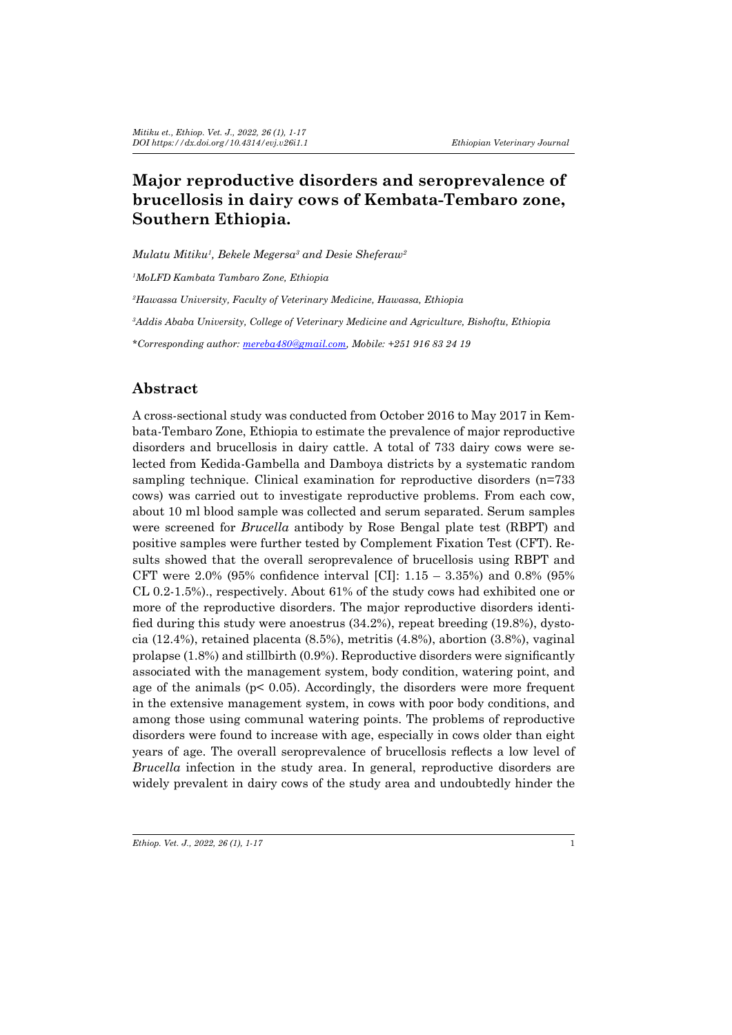# **Major reproductive disorders and seroprevalence of brucellosis in dairy cows of Kembata-Tembaro zone, Southern Ethiopia.**

*Mulatu Mitiku1 , Bekele Megersa3 and Desie Sheferaw<sup>2</sup>*

*1 MoLFD Kambata Tambaro Zone, Ethiopia*

*2 Hawassa University, Faculty of Veterinary Medicine, Hawassa, Ethiopia*

*3 Addis Ababa University, College of Veterinary Medicine and Agriculture, Bishoftu, Ethiopia*

*\*Corresponding author: mereba480@gmail.com, Mobile: +251 916 83 24 19*

### **Abstract**

A cross-sectional study was conducted from October 2016 to May 2017 in Kembata-Tembaro Zone, Ethiopia to estimate the prevalence of major reproductive disorders and brucellosis in dairy cattle. A total of 733 dairy cows were selected from Kedida-Gambella and Damboya districts by a systematic random sampling technique. Clinical examination for reproductive disorders (n=733 cows) was carried out to investigate reproductive problems. From each cow, about 10 ml blood sample was collected and serum separated. Serum samples were screened for *Brucella* antibody by Rose Bengal plate test (RBPT) and positive samples were further tested by Complement Fixation Test (CFT). Results showed that the overall seroprevalence of brucellosis using RBPT and CFT were 2.0% (95% confidence interval [CI]:  $1.15 - 3.35\%$  and 0.8% (95%) CL 0.2-1.5%)., respectively. About 61% of the study cows had exhibited one or more of the reproductive disorders. The major reproductive disorders identified during this study were anoestrus  $(34.2\%)$ , repeat breeding  $(19.8\%)$ , dystocia (12.4%), retained placenta (8.5%), metritis (4.8%), abortion (3.8%), vaginal prolapse (1.8%) and stillbirth (0.9%). Reproductive disorders were significantly associated with the management system, body condition, watering point, and age of the animals ( $p < 0.05$ ). Accordingly, the disorders were more frequent in the extensive management system, in cows with poor body conditions, and among those using communal watering points. The problems of reproductive disorders were found to increase with age, especially in cows older than eight years of age. The overall seroprevalence of brucellosis reflects a low level of *Brucella* infection in the study area. In general, reproductive disorders are widely prevalent in dairy cows of the study area and undoubtedly hinder the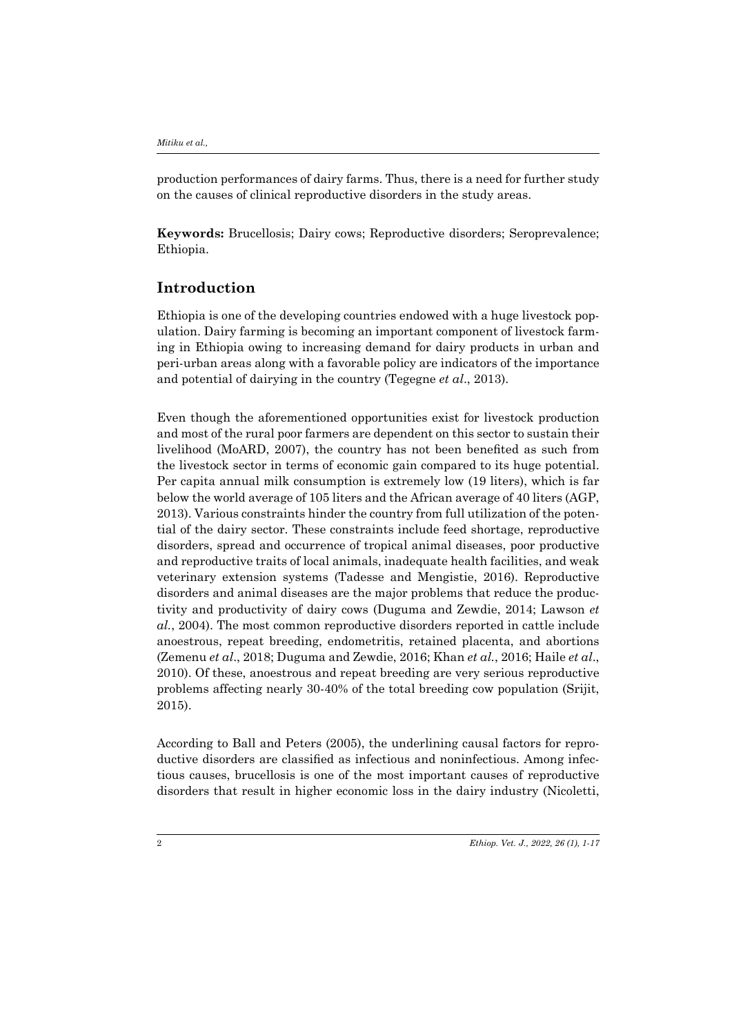production performances of dairy farms. Thus, there is a need for further study on the causes of clinical reproductive disorders in the study areas.

**Keywords:** Brucellosis; Dairy cows; Reproductive disorders; Seroprevalence; Ethiopia.

### **Introduction**

Ethiopia is one of the developing countries endowed with a huge livestock population. Dairy farming is becoming an important component of livestock farming in Ethiopia owing to increasing demand for dairy products in urban and peri-urban areas along with a favorable policy are indicators of the importance and potential of dairying in the country (Tegegne *et al*., 2013).

Even though the aforementioned opportunities exist for livestock production and most of the rural poor farmers are dependent on this sector to sustain their livelihood (MoARD, 2007), the country has not been benefited as such from the livestock sector in terms of economic gain compared to its huge potential. Per capita annual milk consumption is extremely low (19 liters), which is far below the world average of 105 liters and the African average of 40 liters (AGP, 2013). Various constraints hinder the country from full utilization of the potential of the dairy sector. These constraints include feed shortage, reproductive disorders, spread and occurrence of tropical animal diseases, poor productive and reproductive traits of local animals, inadequate health facilities, and weak veterinary extension systems (Tadesse and Mengistie, 2016). Reproductive disorders and animal diseases are the major problems that reduce the productivity and productivity of dairy cows (Duguma and Zewdie, 2014; Lawson *et al.*, 2004). The most common reproductive disorders reported in cattle include anoestrous, repeat breeding, endometritis, retained placenta, and abortions (Zemenu *et al*., 2018; Duguma and Zewdie, 2016; Khan *et al.*, 2016; Haile *et al*., 2010). Of these, anoestrous and repeat breeding are very serious reproductive problems affecting nearly 30-40% of the total breeding cow population (Srijit, 2015).

According to Ball and Peters (2005), the underlining causal factors for reproductive disorders are classified as infectious and noninfectious. Among infectious causes, brucellosis is one of the most important causes of reproductive disorders that result in higher economic loss in the dairy industry (Nicoletti,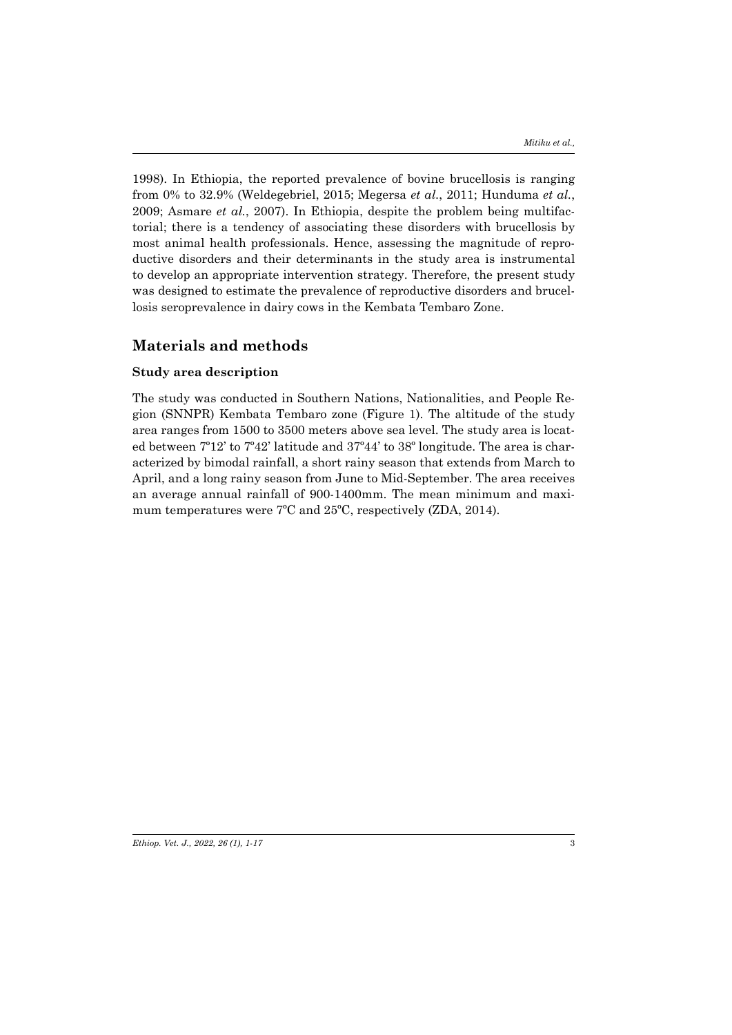1998). In Ethiopia, the reported prevalence of bovine brucellosis is ranging from 0% to 32.9% (Weldegebriel, 2015; Megersa *et al.*, 2011; Hunduma *et al.*, 2009; Asmare *et al.*, 2007). In Ethiopia, despite the problem being multifactorial; there is a tendency of associating these disorders with brucellosis by most animal health professionals. Hence, assessing the magnitude of reproductive disorders and their determinants in the study area is instrumental to develop an appropriate intervention strategy. Therefore, the present study was designed to estimate the prevalence of reproductive disorders and brucellosis seroprevalence in dairy cows in the Kembata Tembaro Zone.

### **Materials and methods**

### **Study area description**

The study was conducted in Southern Nations, Nationalities, and People Region (SNNPR) Kembata Tembaro zone (Figure 1). The altitude of the study area ranges from 1500 to 3500 meters above sea level. The study area is located between 7º12' to 7º42' latitude and 37º44' to 38º longitude. The area is characterized by bimodal rainfall, a short rainy season that extends from March to April, and a long rainy season from June to Mid-September. The area receives an average annual rainfall of 900-1400mm. The mean minimum and maximum temperatures were 7ºC and 25ºC, respectively (ZDA, 2014).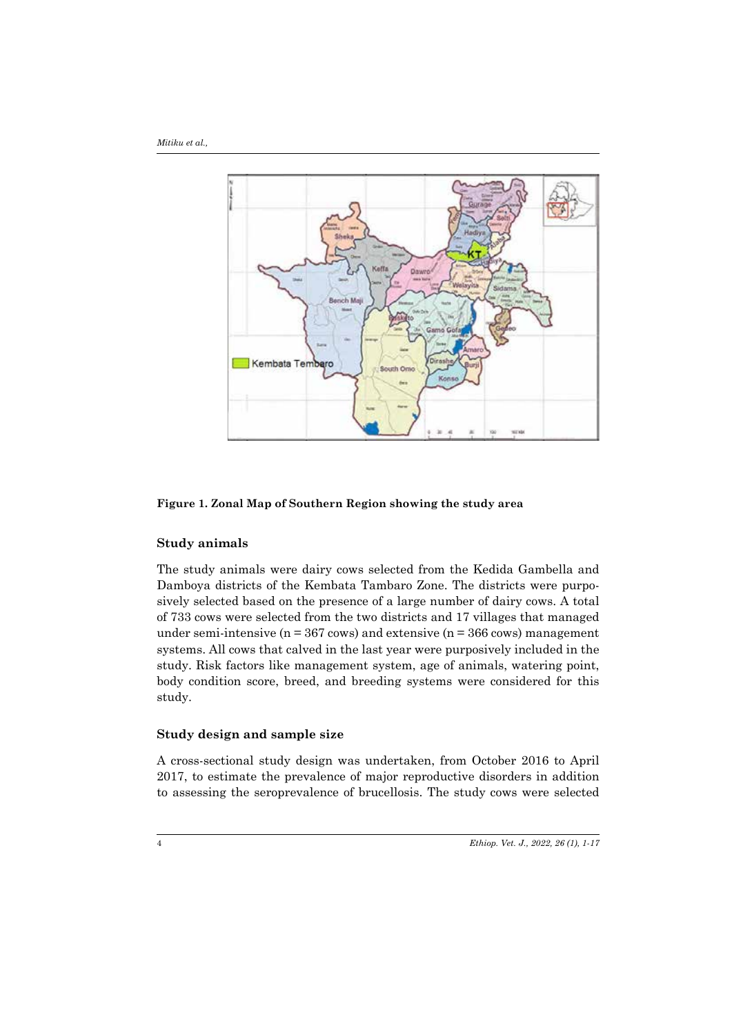*Mitiku et al.,* 



**Figure 1. Zonal Map of Southern Region showing the study area**

#### **Study animals**

The study animals were dairy cows selected from the Kedida Gambella and Damboya districts of the Kembata Tambaro Zone. The districts were purposively selected based on the presence of a large number of dairy cows. A total of 733 cows were selected from the two districts and 17 villages that managed under semi-intensive ( $n = 367$  cows) and extensive ( $n = 366$  cows) management systems. All cows that calved in the last year were purposively included in the study. Risk factors like management system, age of animals, watering point, body condition score, breed, and breeding systems were considered for this study.

### **Study design and sample size**

A cross-sectional study design was undertaken, from October 2016 to April 2017, to estimate the prevalence of major reproductive disorders in addition to assessing the seroprevalence of brucellosis. The study cows were selected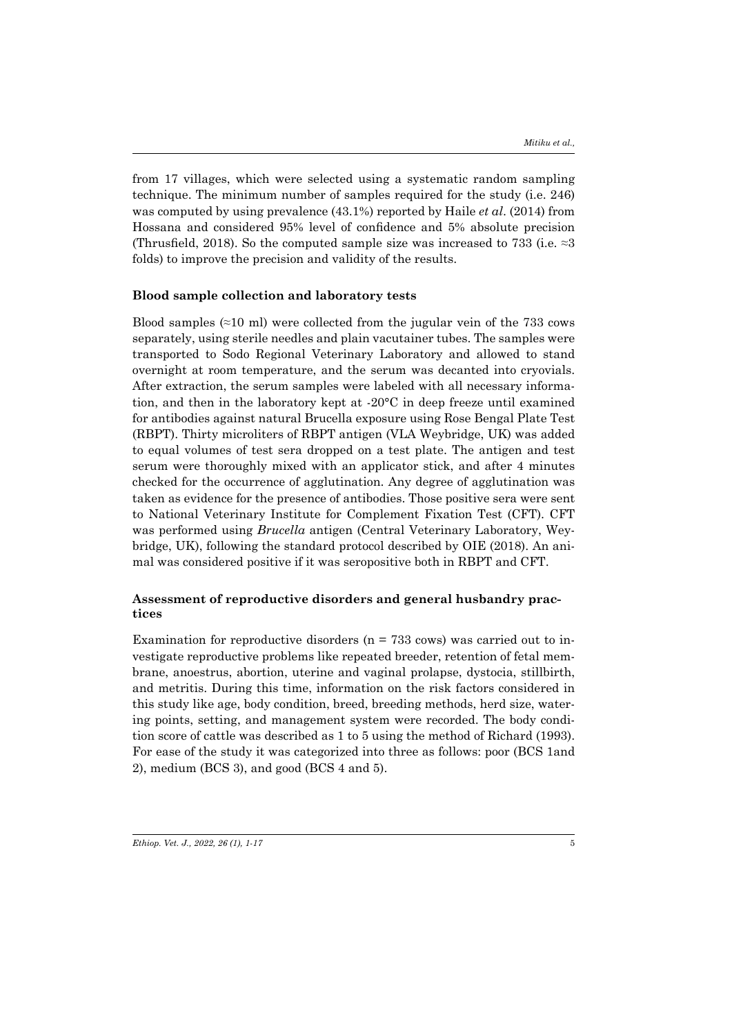from 17 villages, which were selected using a systematic random sampling technique. The minimum number of samples required for the study (i.e. 246) was computed by using prevalence (43.1%) reported by Haile *et al*. (2014) from Hossana and considered 95% level of confidence and 5% absolute precision (Thrusfield, 2018). So the computed sample size was increased to 733 (i.e.  $\approx$ 3) folds) to improve the precision and validity of the results.

#### **Blood sample collection and laboratory tests**

Blood samples  $(\approx 10 \text{ ml})$  were collected from the jugular vein of the 733 cows separately, using sterile needles and plain vacutainer tubes. The samples were transported to Sodo Regional Veterinary Laboratory and allowed to stand overnight at room temperature, and the serum was decanted into cryovials. After extraction, the serum samples were labeled with all necessary information, and then in the laboratory kept at -20°C in deep freeze until examined for antibodies against natural Brucella exposure using Rose Bengal Plate Test (RBPT). Thirty microliters of RBPT antigen (VLA Weybridge, UK) was added to equal volumes of test sera dropped on a test plate. The antigen and test serum were thoroughly mixed with an applicator stick, and after 4 minutes checked for the occurrence of agglutination. Any degree of agglutination was taken as evidence for the presence of antibodies. Those positive sera were sent to National Veterinary Institute for Complement Fixation Test (CFT). CFT was performed using *Brucella* antigen (Central Veterinary Laboratory, Weybridge, UK), following the standard protocol described by OIE (2018). An animal was considered positive if it was seropositive both in RBPT and CFT.

### **Assessment of reproductive disorders and general husbandry practices**

Examination for reproductive disorders ( $n = 733$  cows) was carried out to investigate reproductive problems like repeated breeder, retention of fetal membrane, anoestrus, abortion, uterine and vaginal prolapse, dystocia, stillbirth, and metritis. During this time, information on the risk factors considered in this study like age, body condition, breed, breeding methods, herd size, watering points, setting, and management system were recorded. The body condition score of cattle was described as 1 to 5 using the method of Richard (1993). For ease of the study it was categorized into three as follows: poor (BCS 1and 2), medium (BCS 3), and good (BCS 4 and 5).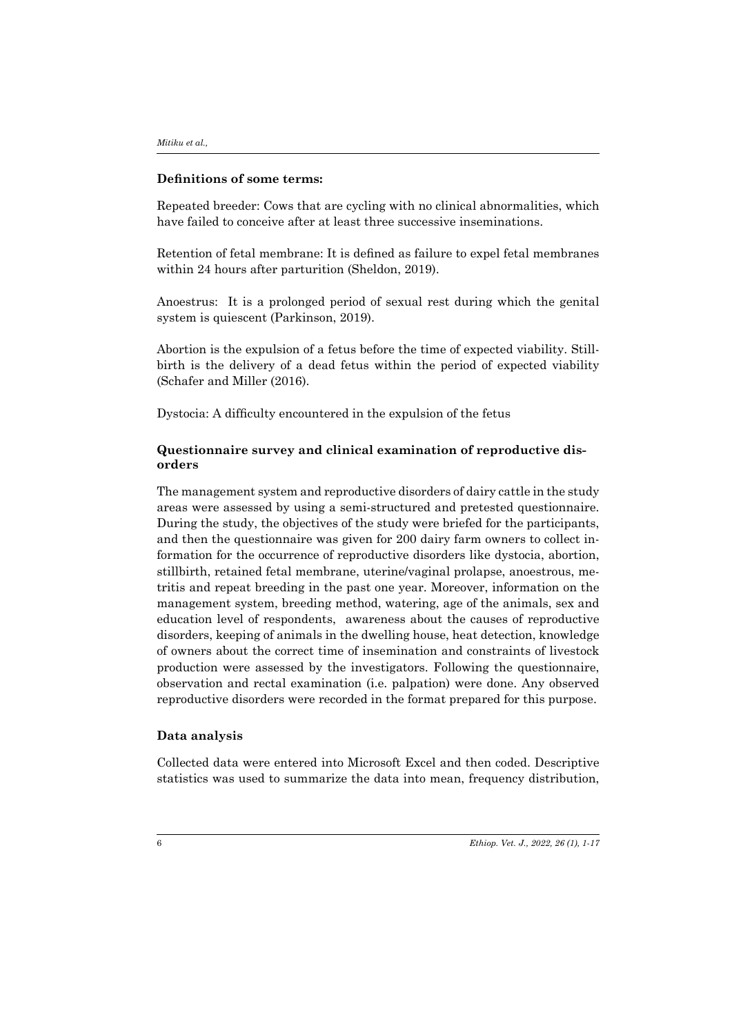#### **Definitions of some terms:**

Repeated breeder: Cows that are cycling with no clinical abnormalities, which have failed to conceive after at least three successive inseminations.

Retention of fetal membrane: It is defined as failure to expel fetal membranes within 24 hours after parturition (Sheldon, 2019).

Anoestrus: It is a prolonged period of sexual rest during which the genital system is quiescent (Parkinson, 2019).

Abortion is the expulsion of a fetus before the time of expected viability. Stillbirth is the delivery of a dead fetus within the period of expected viability (Schafer and Miller (2016).

Dystocia: A difficulty encountered in the expulsion of the fetus

### **Questionnaire survey and clinical examination of reproductive disorders**

The management system and reproductive disorders of dairy cattle in the study areas were assessed by using a semi-structured and pretested questionnaire. During the study, the objectives of the study were briefed for the participants, and then the questionnaire was given for 200 dairy farm owners to collect information for the occurrence of reproductive disorders like dystocia, abortion, stillbirth, retained fetal membrane, uterine/vaginal prolapse, anoestrous, metritis and repeat breeding in the past one year. Moreover, information on the management system, breeding method, watering, age of the animals, sex and education level of respondents, awareness about the causes of reproductive disorders, keeping of animals in the dwelling house, heat detection, knowledge of owners about the correct time of insemination and constraints of livestock production were assessed by the investigators. Following the questionnaire, observation and rectal examination (i.e. palpation) were done. Any observed reproductive disorders were recorded in the format prepared for this purpose.

### **Data analysis**

Collected data were entered into Microsoft Excel and then coded. Descriptive statistics was used to summarize the data into mean, frequency distribution,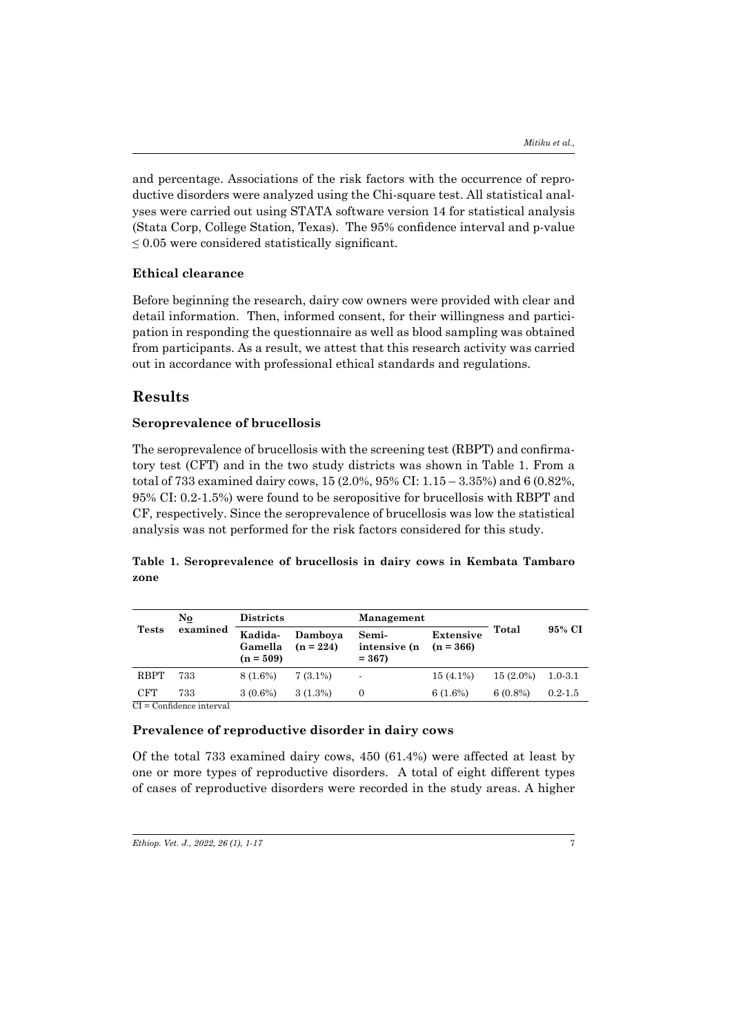and percentage. Associations of the risk factors with the occurrence of reproductive disorders were analyzed using the Chi-square test. All statistical analyses were carried out using STATA software version 14 for statistical analysis (Stata Corp, College Station, Texas). The 95% confidence interval and p-value  $\leq 0.05$  were considered statistically significant.

### **Ethical clearance**

Before beginning the research, dairy cow owners were provided with clear and detail information. Then, informed consent, for their willingness and participation in responding the questionnaire as well as blood sampling was obtained from participants. As a result, we attest that this research activity was carried out in accordance with professional ethical standards and regulations.

### **Results**

#### **Seroprevalence of brucellosis**

The seroprevalence of brucellosis with the screening test (RBPT) and confirmatory test (CFT) and in the two study districts was shown in Table 1. From a total of 733 examined dairy cows, 15 (2.0%, 95% CI: 1.15 – 3.35%) and 6 (0.82%, 95% CI: 0.2-1.5%) were found to be seropositive for brucellosis with RBPT and CF, respectively. Since the seroprevalence of brucellosis was low the statistical analysis was not performed for the risk factors considered for this study.

### **Table 1. Seroprevalence of brucellosis in dairy cows in Kembata Tambaro zone**

|              | No.                       | <b>Districts</b>                  |                        | Management                       |                                 |             |             |
|--------------|---------------------------|-----------------------------------|------------------------|----------------------------------|---------------------------------|-------------|-------------|
| <b>Tests</b> | examined                  | Kadida-<br>Gamella<br>$(n = 509)$ | Damboya<br>$(n = 224)$ | Semi-<br>intensive (n<br>$= 367$ | <b>Extensive</b><br>$(n = 366)$ | Total       | 95% CI      |
| <b>RBPT</b>  | 733                       | 8 (1.6%)                          | $7(3.1\%)$             | ٠                                | $15(4.1\%)$                     | $15(2.0\%)$ | $1.0 - 3.1$ |
| CFT          | 733                       | $3(0.6\%)$                        | 3(1.3%)                |                                  | $6(1.6\%)$                      | $6(0.8\%)$  | $0.2 - 1.5$ |
|              | $CI - Confdones$ interval |                                   |                        |                                  |                                 |             |             |

CI = Confidence interval

#### **Prevalence of reproductive disorder in dairy cows**

Of the total 733 examined dairy cows, 450 (61.4%) were affected at least by one or more types of reproductive disorders. A total of eight different types of cases of reproductive disorders were recorded in the study areas. A higher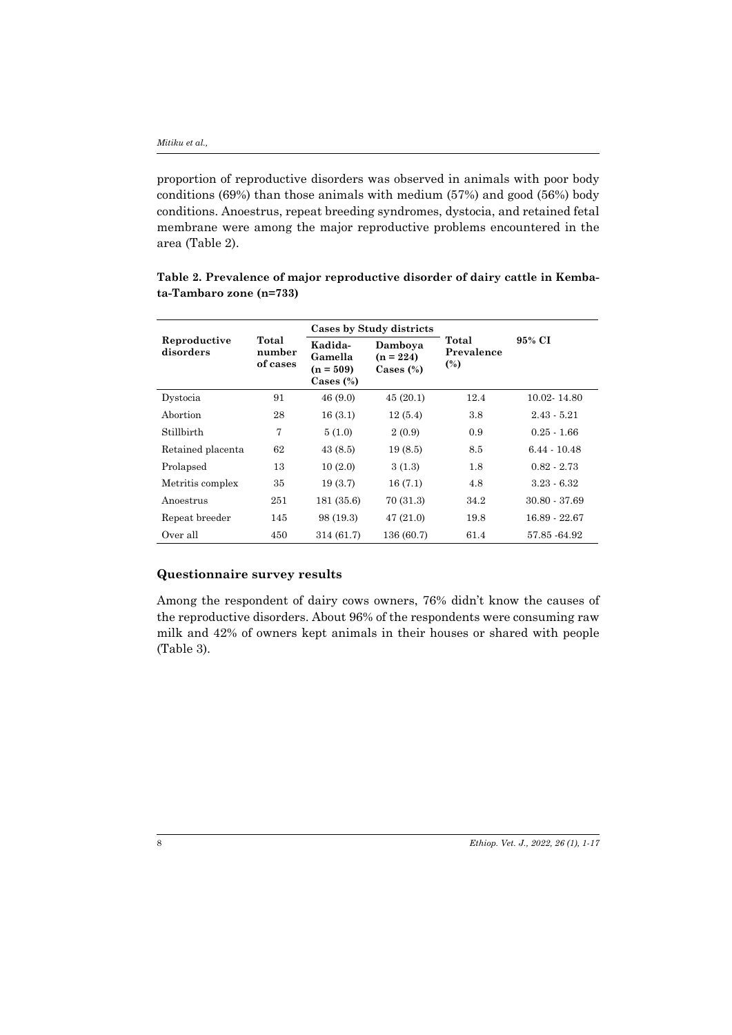proportion of reproductive disorders was observed in animals with poor body conditions (69%) than those animals with medium (57%) and good (56%) body conditions. Anoestrus, repeat breeding syndromes, dystocia, and retained fetal membrane were among the major reproductive problems encountered in the area (Table 2).

|                           | Total<br>number<br>of cases | Cases by Study districts                          |                                        |                            |                 |  |
|---------------------------|-----------------------------|---------------------------------------------------|----------------------------------------|----------------------------|-----------------|--|
| Reproductive<br>disorders |                             | Kadida-<br>Gamella<br>$(n = 509)$<br>Cases $(\%)$ | Damboya<br>$(n = 224)$<br>Cases $(\%)$ | Total<br>Prevalence<br>(%) | 95% CI          |  |
| Dystocia                  | 91                          | 46(9.0)                                           | 45(20.1)                               | 12.4                       | 10.02 - 14.80   |  |
| Abortion                  | 28                          | 16(3.1)                                           | 12(5.4)                                | 3.8                        | $2.43 - 5.21$   |  |
| Stillbirth                | 7                           | 5(1.0)                                            | 2(0.9)                                 | 0.9                        | $0.25 - 1.66$   |  |
| Retained placenta         | 62                          | 43(8.5)                                           | 19(8.5)                                | 8.5                        | $6.44 - 10.48$  |  |
| Prolapsed                 | 13                          | 10(2.0)                                           | 3(1.3)                                 | 1.8                        | $0.82 - 2.73$   |  |
| Metritis complex          | 35                          | 19(3.7)                                           | 16(7.1)                                | 4.8                        | $3.23 - 6.32$   |  |
| Anoestrus                 | 251                         | 181 (35.6)                                        | 70(31.3)                               | 34.2                       | $30.80 - 37.69$ |  |
| Repeat breeder            | 145                         | 98 (19.3)                                         | 47(21.0)                               | 19.8                       | 16.89 - 22.67   |  |
| Over all                  | 450                         | 314 (61.7)                                        | 136 (60.7)                             | 61.4                       | 57.85 - 64.92   |  |

**Table 2. Prevalence of major reproductive disorder of dairy cattle in Kembata-Tambaro zone (n=733)**

### **Questionnaire survey results**

Among the respondent of dairy cows owners, 76% didn't know the causes of the reproductive disorders. About 96% of the respondents were consuming raw milk and 42% of owners kept animals in their houses or shared with people (Table 3).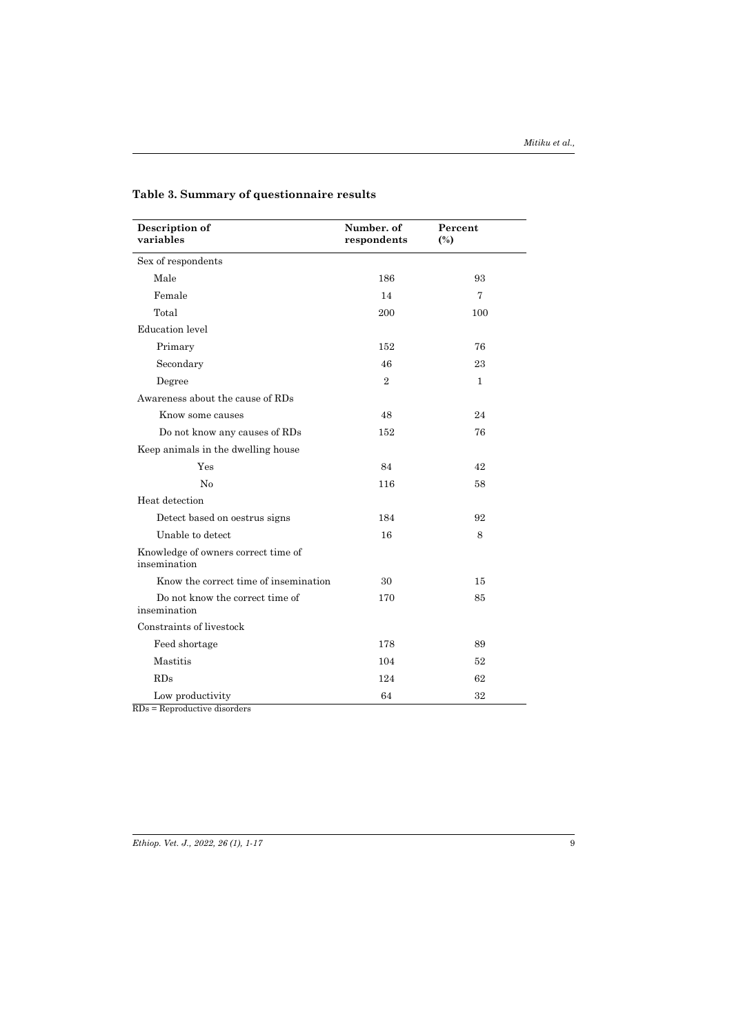| Description of<br>variables                         | Number. of<br>respondents | Percent<br>$\binom{0}{0}$ |  |
|-----------------------------------------------------|---------------------------|---------------------------|--|
| Sex of respondents                                  |                           |                           |  |
| Male                                                | 186                       | 93                        |  |
| Female                                              | 14                        | 7                         |  |
| Total                                               | 200                       | 100                       |  |
| Education level                                     |                           |                           |  |
| Primary                                             | 152                       | 76                        |  |
| Secondary                                           | 46                        | 23                        |  |
| Degree                                              | $\overline{2}$            | $\mathbf{1}$              |  |
| Awareness about the cause of RDs                    |                           |                           |  |
| Know some causes                                    | 48                        | 24                        |  |
| Do not know any causes of RDs                       | 152                       | 76                        |  |
| Keep animals in the dwelling house                  |                           |                           |  |
| Yes                                                 | 84                        | 42                        |  |
| No                                                  | 116                       | 58                        |  |
| Heat detection                                      |                           |                           |  |
| Detect based on oestrus signs                       | 184                       | 92                        |  |
| Unable to detect                                    | 16                        | 8                         |  |
| Knowledge of owners correct time of<br>insemination |                           |                           |  |
| Know the correct time of insemination               | 30                        | 15                        |  |
| Do not know the correct time of<br>insemination     | 170                       | 85                        |  |
| Constraints of livestock                            |                           |                           |  |
| Feed shortage                                       | 178                       | 89                        |  |
| Mastitis                                            | 104                       | 52                        |  |
| RDs                                                 | 124                       | 62                        |  |
| Low productivity<br>$RDs = Reproductive disorders$  | 64                        | 32                        |  |

### **Table 3. Summary of questionnaire results**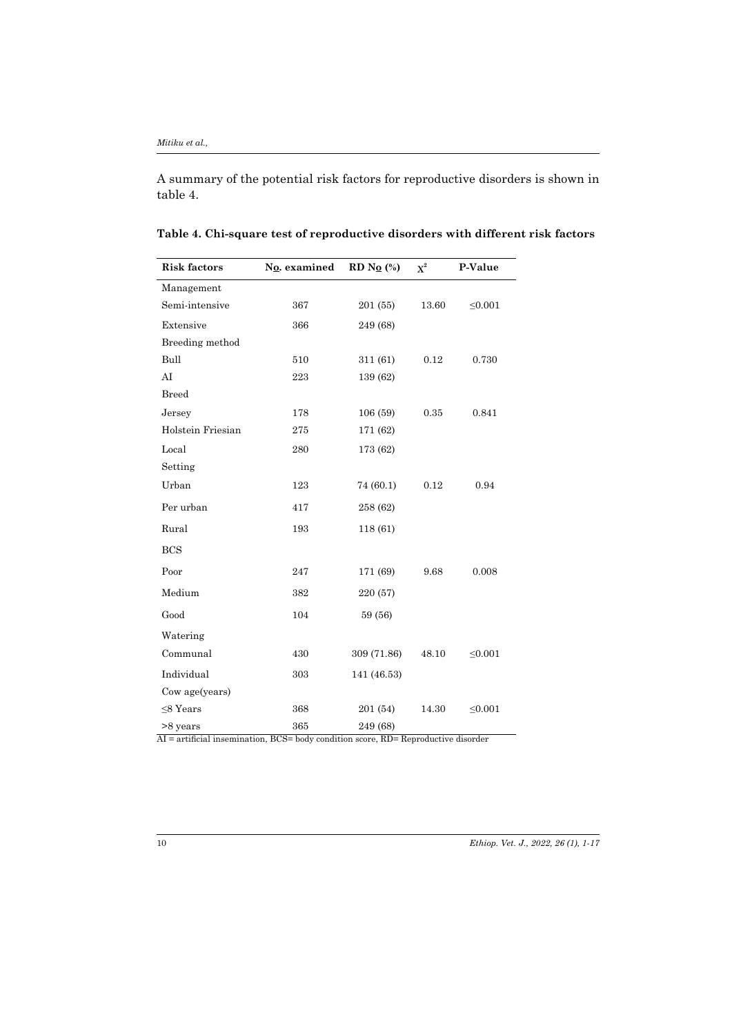A summary of the potential risk factors for reproductive disorders is shown in table 4.

| <b>Risk factors</b>           | No. examined | RD No $\left(\% \right)$                   | $\mathrm{X}^2$ | P-Value      |
|-------------------------------|--------------|--------------------------------------------|----------------|--------------|
| Management                    |              |                                            |                |              |
| Semi-intensive                | 367          | 201 (55)                                   | 13.60          | $\leq 0.001$ |
| Extensive                     | 366          | 249 (68)                                   |                |              |
| Breeding method               |              |                                            |                |              |
| Bull                          | 510          | 311 (61)                                   | 0.12           | 0.730        |
| AI                            | 223          | 139 (62)                                   |                |              |
| <b>Breed</b>                  |              |                                            |                |              |
| Jersey                        | 178          | 106 (59)                                   | 0.35           | 0.841        |
| Holstein Friesian             | 275          | 171 (62)                                   |                |              |
| Local                         | 280          | 173 (62)                                   |                |              |
| Setting                       |              |                                            |                |              |
| Urban                         | 123          | 74 (60.1)                                  | 0.12           | 0.94         |
| Per urban                     | 417          | 258 (62)                                   |                |              |
| Rural                         | 193          | 118 (61)                                   |                |              |
| <b>BCS</b>                    |              |                                            |                |              |
| Poor                          | 247          | 171 (69)                                   | 9.68           | 0.008        |
| Medium                        | 382          | 220 (57)                                   |                |              |
| Good                          | 104          | 59 (56)                                    |                |              |
| Watering                      |              |                                            |                |              |
| Communal                      | 430          | 309 (71.86)                                | 48.10          | $\leq 0.001$ |
| Individual                    | 303          | 141 (46.53)                                |                |              |
| Cow age(years)                |              |                                            |                |              |
| $\leq$ 8 Years                | 368          | 201 (54)                                   | 14.30          | $\leq 0.001$ |
| >8 years<br>$\Lambda T = -12$ | 365          | 249 (68)<br>$\mathbf{D}$<br>$\mathbf{D}$ . | 3.7.11.7.7     |              |

AI = artificial insemination, BCS= body condition score, RD= Reproductive disorder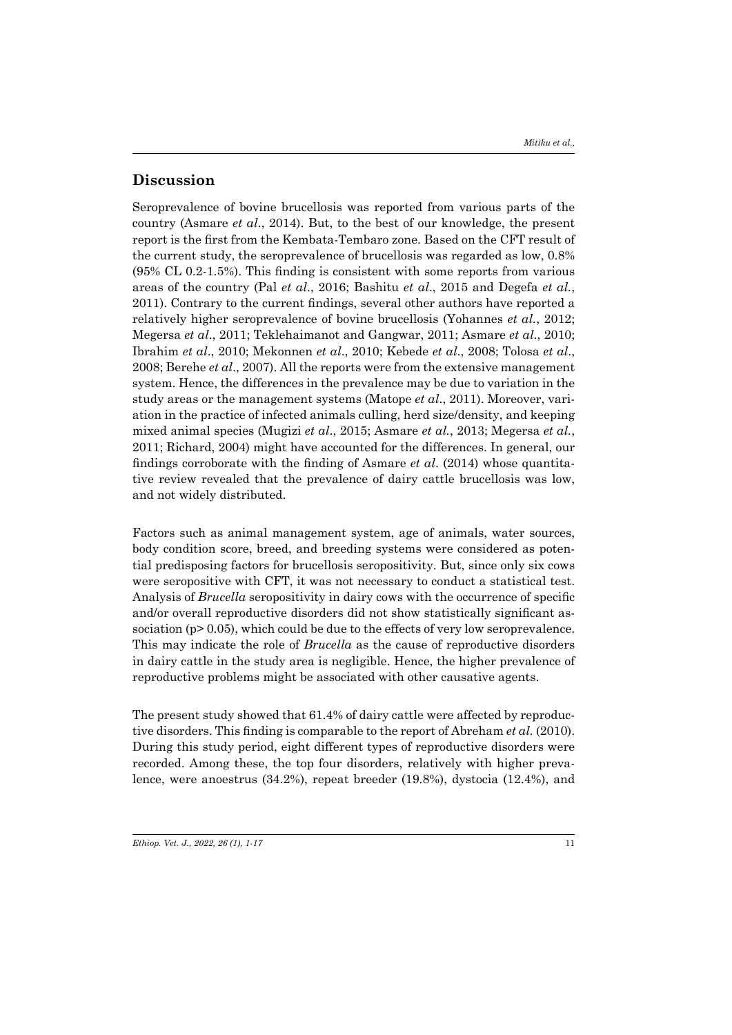### **Discussion**

Seroprevalence of bovine brucellosis was reported from various parts of the country (Asmare *et al*., 2014). But, to the best of our knowledge, the present report is the first from the Kembata-Tembaro zone. Based on the CFT result of the current study, the seroprevalence of brucellosis was regarded as low, 0.8% (95% CL 0.2-1.5%). This finding is consistent with some reports from various areas of the country (Pal *et al*., 2016; Bashitu *et al*., 2015 and Degefa *et al.*, 2011). Contrary to the current findings, several other authors have reported a relatively higher seroprevalence of bovine brucellosis (Yohannes *et al.*, 2012; Megersa *et al*., 2011; Teklehaimanot and Gangwar, 2011; Asmare *et al*., 2010; Ibrahim *et al*., 2010; Mekonnen *et al*., 2010; Kebede *et al*., 2008; Tolosa *et al*., 2008; Berehe *et al*., 2007). All the reports were from the extensive management system. Hence, the differences in the prevalence may be due to variation in the study areas or the management systems (Matope *et al*., 2011). Moreover, variation in the practice of infected animals culling, herd size/density, and keeping mixed animal species (Mugizi *et al*., 2015; Asmare *et al.*, 2013; Megersa *et al.*, 2011; Richard, 2004) might have accounted for the differences. In general, our findings corroborate with the finding of Asmare *et al*. (2014) whose quantitative review revealed that the prevalence of dairy cattle brucellosis was low, and not widely distributed.

Factors such as animal management system, age of animals, water sources, body condition score, breed, and breeding systems were considered as potential predisposing factors for brucellosis seropositivity. But, since only six cows were seropositive with CFT, it was not necessary to conduct a statistical test. Analysis of *Brucella* seropositivity in dairy cows with the occurrence of specific and/or overall reproductive disorders did not show statistically significant association (p> 0.05), which could be due to the effects of very low seroprevalence. This may indicate the role of *Brucella* as the cause of reproductive disorders in dairy cattle in the study area is negligible. Hence, the higher prevalence of reproductive problems might be associated with other causative agents.

The present study showed that 61.4% of dairy cattle were affected by reproductive disorders. This finding is comparable to the report of Abreham *et al.* (2010). During this study period, eight different types of reproductive disorders were recorded. Among these, the top four disorders, relatively with higher prevalence, were anoestrus (34.2%), repeat breeder (19.8%), dystocia (12.4%), and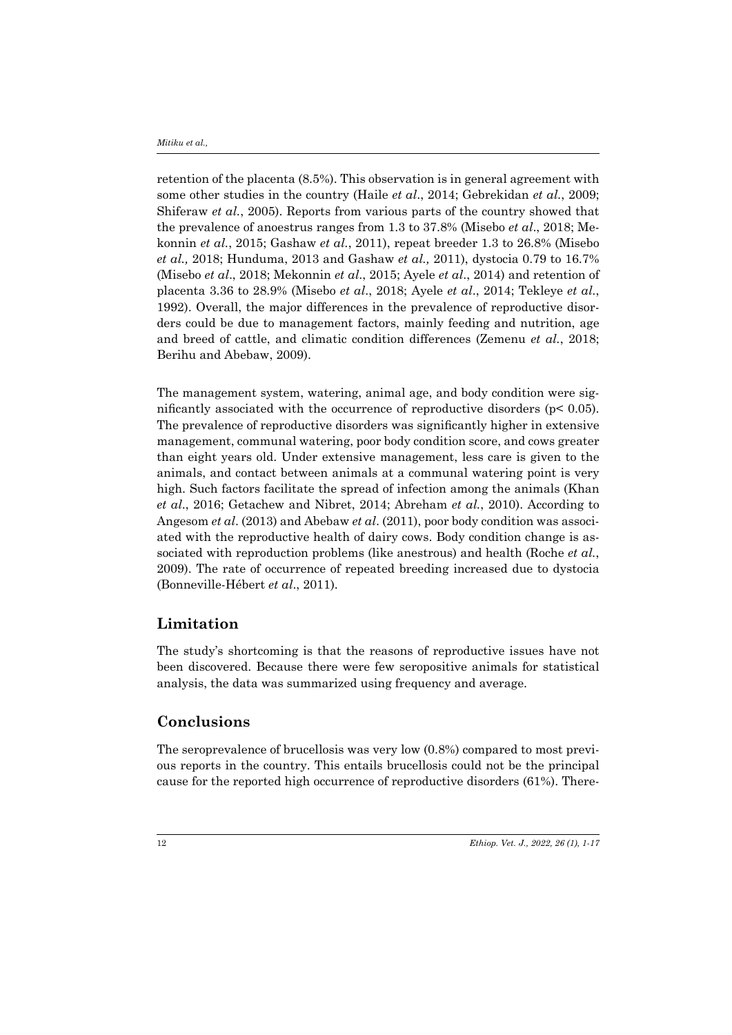retention of the placenta (8.5%). This observation is in general agreement with some other studies in the country (Haile *et al*., 2014; Gebrekidan *et al.*, 2009; Shiferaw *et al.*, 2005). Reports from various parts of the country showed that the prevalence of anoestrus ranges from 1.3 to 37.8% (Misebo *et al*., 2018; Mekonnin *et al.*, 2015; Gashaw *et al.*, 2011), repeat breeder 1.3 to 26.8% (Misebo *et al.,* 2018; Hunduma, 2013 and Gashaw *et al.,* 2011), dystocia 0.79 to 16.7% (Misebo *et al*., 2018; Mekonnin *et al*., 2015; Ayele *et al*., 2014) and retention of placenta 3.36 to 28.9% (Misebo *et al*., 2018; Ayele *et al*., 2014; Tekleye *et al.*, 1992). Overall, the major differences in the prevalence of reproductive disorders could be due to management factors, mainly feeding and nutrition, age and breed of cattle, and climatic condition differences (Zemenu *et al.*, 2018; Berihu and Abebaw, 2009).

The management system, watering, animal age, and body condition were significantly associated with the occurrence of reproductive disorders ( $p$ < 0.05). The prevalence of reproductive disorders was significantly higher in extensive management, communal watering, poor body condition score, and cows greater than eight years old. Under extensive management, less care is given to the animals, and contact between animals at a communal watering point is very high. Such factors facilitate the spread of infection among the animals (Khan *et al*., 2016; Getachew and Nibret, 2014; Abreham *et al.*, 2010). According to Angesom *et al*. (2013) and Abebaw *et al*. (2011), poor body condition was associated with the reproductive health of dairy cows. Body condition change is associated with reproduction problems (like anestrous) and health (Roche *et al.*, 2009). The rate of occurrence of repeated breeding increased due to dystocia (Bonneville-Hébert *et al*., 2011).

### **Limitation**

The study's shortcoming is that the reasons of reproductive issues have not been discovered. Because there were few seropositive animals for statistical analysis, the data was summarized using frequency and average.

## **Conclusions**

The seroprevalence of brucellosis was very low (0.8%) compared to most previous reports in the country. This entails brucellosis could not be the principal cause for the reported high occurrence of reproductive disorders (61%). There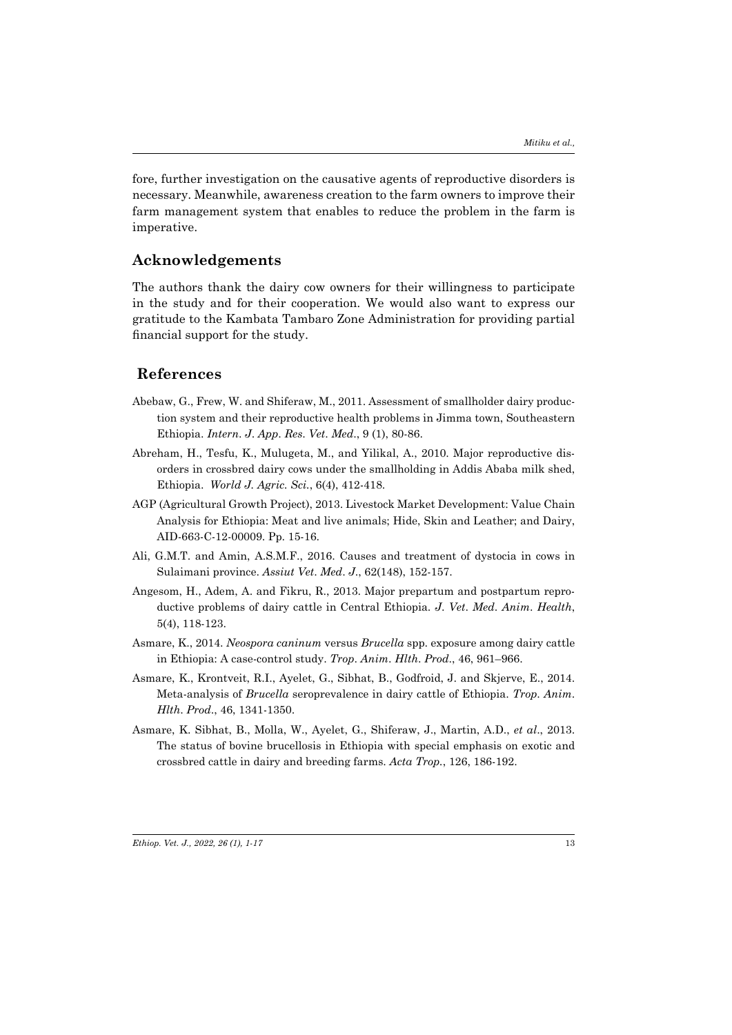fore, further investigation on the causative agents of reproductive disorders is necessary. Meanwhile, awareness creation to the farm owners to improve their farm management system that enables to reduce the problem in the farm is imperative.

### **Acknowledgements**

The authors thank the dairy cow owners for their willingness to participate in the study and for their cooperation. We would also want to express our gratitude to the Kambata Tambaro Zone Administration for providing partial financial support for the study.

### **References**

- Abebaw, G., Frew, W. and Shiferaw, M., 2011. Assessment of smallholder dairy production system and their reproductive health problems in Jimma town, Southeastern Ethiopia. *Intern*. *J*. *App*. *Res*. *Vet*. *Med*., 9 (1), 80-86.
- Abreham, H., Tesfu, K., Mulugeta, M., and Yilikal, A., 2010. Major reproductive disorders in crossbred dairy cows under the smallholding in Addis Ababa milk shed, Ethiopia. *World J. Agric. Sci.*, 6(4), 412-418.
- AGP (Agricultural Growth Project), 2013. Livestock Market Development: Value Chain Analysis for Ethiopia: Meat and live animals; Hide, Skin and Leather; and Dairy, AID-663-C-12-00009. Pp. 15-16.
- Ali, G.M.T. and Amin, A.S.M.F., 2016. Causes and treatment of dystocia in cows in Sulaimani province. *Assiut Vet*. *Med*. *J*., 62(148), 152-157.
- Angesom, H., Adem, A. and Fikru, R., 2013. Major prepartum and postpartum reproductive problems of dairy cattle in Central Ethiopia. *J*. *Vet*. *Med*. *Anim*. *Health*, 5(4), 118-123.
- Asmare, K., 2014. *Neospora caninum* versus *Brucella* spp. exposure among dairy cattle in Ethiopia: A case-control study. *Trop*. *Anim*. *Hlth*. *Prod*., 46, 961–966.
- Asmare, K., Krontveit, R.I., Ayelet, G., Sibhat, B., Godfroid, J. and Skjerve, E., 2014. Meta-analysis of *Brucella* seroprevalence in dairy cattle of Ethiopia. *Trop*. *Anim*. *Hlth*. *Prod*., 46, 1341-1350.
- Asmare, K. Sibhat, B., Molla, W., Ayelet, G., Shiferaw, J., Martin, A.D., *et al*., 2013. The status of bovine brucellosis in Ethiopia with special emphasis on exotic and crossbred cattle in dairy and breeding farms. *Acta Trop.*, 126, 186-192.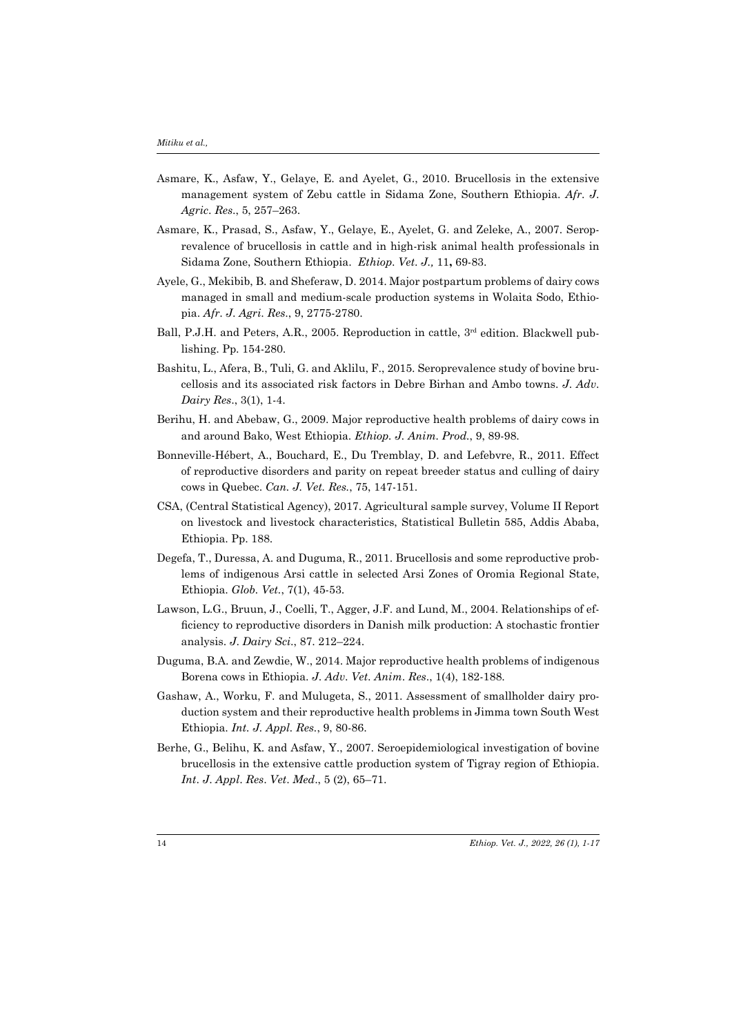- Asmare, K., Asfaw, Y., Gelaye, E. and Ayelet, G., 2010. Brucellosis in the extensive management system of Zebu cattle in Sidama Zone, Southern Ethiopia. *Afr*. *J*. *Agric*. *Res*., 5, 257–263.
- Asmare, K., Prasad, S., Asfaw, Y., Gelaye, E., Ayelet, G. and Zeleke, A., 2007. Seroprevalence of brucellosis in cattle and in high-risk animal health professionals in Sidama Zone, Southern Ethiopia. *Ethiop*. *Vet*. *J.,* 11**,** 69-83.
- Ayele, G., Mekibib, B. and Sheferaw, D. 2014. Major postpartum problems of dairy cows managed in small and medium-scale production systems in Wolaita Sodo, Ethiopia. *Afr*. *J*. *Agri*. *Res*., 9, 2775-2780.
- Ball, P.J.H. and Peters, A.R., 2005. Reproduction in cattle, 3<sup>rd</sup> edition. Blackwell publishing. Pp. 154-280.
- Bashitu, L., Afera, B., Tuli, G. and Aklilu, F., 2015. Seroprevalence study of bovine brucellosis and its associated risk factors in Debre Birhan and Ambo towns. *J*. *Adv*. *Dairy Res*., 3(1), 1-4.
- Berihu, H. and Abebaw, G., 2009. Major reproductive health problems of dairy cows in and around Bako, West Ethiopia. *Ethiop. J. Anim. Prod.*, 9, 89-98.
- Bonneville-Hébert, A., Bouchard, E., Du Tremblay, D. and Lefebvre, R., 2011. Effect of reproductive disorders and parity on repeat breeder status and culling of dairy cows in Quebec. *Can. J. Vet. Res.*, 75, 147-151.
- CSA, (Central Statistical Agency), 2017. Agricultural sample survey, Volume II Report on livestock and livestock characteristics, Statistical Bulletin 585, Addis Ababa, Ethiopia. Pp. 188.
- Degefa, T., Duressa, A. and Duguma, R., 2011. Brucellosis and some reproductive problems of indigenous Arsi cattle in selected Arsi Zones of Oromia Regional State, Ethiopia. *Glob. Vet.*, 7(1), 45-53.
- Lawson, L.G., Bruun, J., Coelli, T., Agger, J.F. and Lund, M., 2004. Relationships of efficiency to reproductive disorders in Danish milk production: A stochastic frontier analysis. *J*. *Dairy Sci*., 87. 212–224.
- Duguma, B.A. and Zewdie, W., 2014. Major reproductive health problems of indigenous Borena cows in Ethiopia. *J*. *Adv*. *Vet*. *Anim*. *Res*., 1(4), 182-188.
- Gashaw, A., Worku, F. and Mulugeta, S., 2011. Assessment of smallholder dairy production system and their reproductive health problems in Jimma town South West Ethiopia. *Int. J. Appl. Res.*, 9, 80-86.
- Berhe, G., Belihu, K. and Asfaw, Y., 2007. Seroepidemiological investigation of bovine brucellosis in the extensive cattle production system of Tigray region of Ethiopia. *Int*. *J*. *Appl*. *Res*. *Vet*. *Med*., 5 (2), 65–71.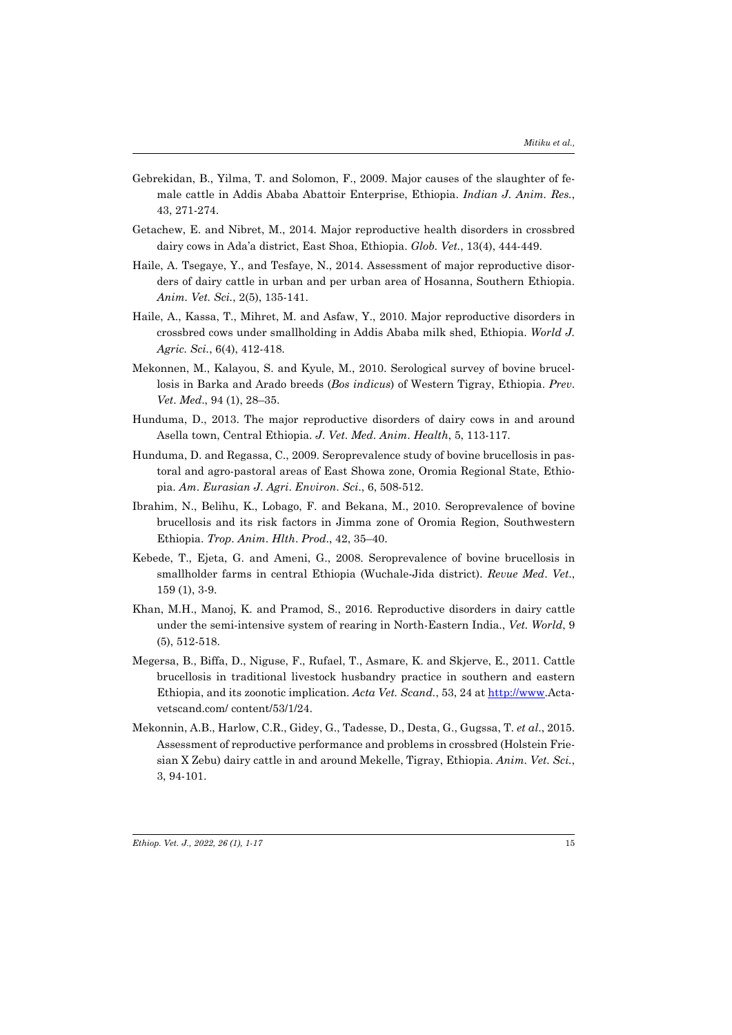- Gebrekidan, B., Yilma, T. and Solomon, F., 2009. Major causes of the slaughter of female cattle in Addis Ababa Abattoir Enterprise, Ethiopia. *Indian J. Anim. Res.*, 43, 271-274.
- Getachew, E. and Nibret, M., 2014*.* Major reproductive health disorders in crossbred dairy cows in Ada'a district, East Shoa, Ethiopia. *Glob. Vet.*, 13(4), 444-449.
- Haile, A. Tsegaye, Y., and Tesfaye, N., 2014. Assessment of major reproductive disorders of dairy cattle in urban and per urban area of Hosanna, Southern Ethiopia. *Anim. Vet. Sci.*, 2(5), 135-141.
- Haile, A., Kassa, T., Mihret, M. and Asfaw, Y., 2010. Major reproductive disorders in crossbred cows under smallholding in Addis Ababa milk shed, Ethiopia. *World J. Agric. Sci.*, 6(4), 412-418.
- Mekonnen, M., Kalayou, S. and Kyule, M., 2010. Serological survey of bovine brucellosis in Barka and Arado breeds (*Bos indicus*) of Western Tigray, Ethiopia. *Prev*. *Vet*. *Med*., 94 (1), 28–35.
- Hunduma, D., 2013. The major reproductive disorders of dairy cows in and around Asella town, Central Ethiopia. *J*. *Vet*. *Med*. *Anim*. *Health*, 5, 113-117.
- Hunduma, D. and Regassa, C., 2009. Seroprevalence study of bovine brucellosis in pastoral and agro-pastoral areas of East Showa zone, Oromia Regional State, Ethiopia. *Am*. *Eurasian J*. *Agri*. *Environ*. *Sci*., 6, 508-512.
- Ibrahim, N., Belihu, K., Lobago, F. and Bekana, M., 2010. Seroprevalence of bovine brucellosis and its risk factors in Jimma zone of Oromia Region, Southwestern Ethiopia. *Trop*. *Anim*. *Hlth*. *Prod*., 42, 35–40.
- Kebede, T., Ejeta, G. and Ameni, G., 2008. Seroprevalence of bovine brucellosis in smallholder farms in central Ethiopia (Wuchale-Jida district). *Revue Med*. *Vet*., 159 (1), 3-9.
- Khan, M.H., Manoj, K. and Pramod, S., 2016. Reproductive disorders in dairy cattle under the semi-intensive system of rearing in North-Eastern India., *Vet. World*, 9 (5), 512-518.
- Megersa, B., Biffa, D., Niguse, F., Rufael, T., Asmare, K. and Skjerve, E., 2011. Cattle brucellosis in traditional livestock husbandry practice in southern and eastern Ethiopia, and its zoonotic implication. *Acta Vet. Scand.*, 53, 24 at http://www.Actavetscand.com/ content/53/1/24.
- Mekonnin, A.B., Harlow, C.R., Gidey, G., Tadesse, D., Desta, G., Gugssa, T. *et al*., 2015. Assessment of reproductive performance and problems in crossbred (Holstein Friesian X Zebu) dairy cattle in and around Mekelle, Tigray, Ethiopia. *Anim. Vet. Sci.*, 3, 94-101.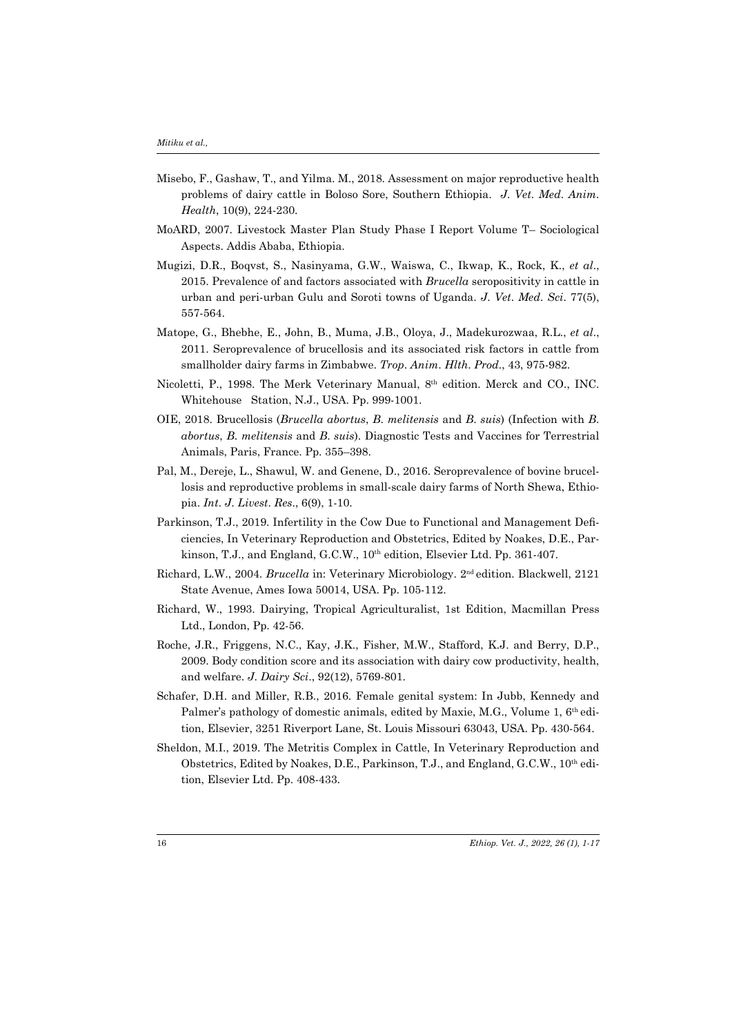- Misebo, F., Gashaw, T., and Yilma. M., 2018. Assessment on major reproductive health problems of dairy cattle in Boloso Sore, Southern Ethiopia. *J*. *Vet*. *Med*. *Anim*. *Health*, 10(9), 224-230.
- MoARD, 2007. Livestock Master Plan Study Phase I Report Volume T– Sociological Aspects. Addis Ababa, Ethiopia.
- Mugizi, D.R., Boqvst, S., Nasinyama, G.W., Waiswa, C., Ikwap, K., Rock, K., *et al*., 2015. Prevalence of and factors associated with *Brucella* seropositivity in cattle in urban and peri-urban Gulu and Soroti towns of Uganda. *J*. *Vet*. *Med*. *Sci*. 77(5), 557-564.
- Matope, G., Bhebhe, E., John, B., Muma, J.B., Oloya, J., Madekurozwaa, R.L., *et al*., 2011. Seroprevalence of brucellosis and its associated risk factors in cattle from smallholder dairy farms in Zimbabwe. *Trop*. *Anim*. *Hlth*. *Prod*., 43, 975-982.
- Nicoletti, P., 1998. The Merk Veterinary Manual, 8th edition. Merck and CO., INC. Whitehouse Station, N.J., USA. Pp. 999-1001.
- OIE, 2018. Brucellosis (*Brucella abortus*, *B*. *melitensis* and *B*. *suis*) (Infection with *B*. *abortus*, *B*. *melitensis* and *B*. *suis*). Diagnostic Tests and Vaccines for Terrestrial Animals, Paris, France. Pp. 355–398.
- Pal, M., Dereje, L., Shawul, W. and Genene, D., 2016. Seroprevalence of bovine brucellosis and reproductive problems in small-scale dairy farms of North Shewa, Ethiopia. *Int*. *J*. *Livest*. *Res*., 6(9), 1-10.
- Parkinson, T.J., 2019. Infertility in the Cow Due to Functional and Management Deficiencies, In Veterinary Reproduction and Obstetrics, Edited by Noakes, D.E., Parkinson, T.J., and England, G.C.W., 10th edition, Elsevier Ltd. Pp. 361-407.
- Richard, L.W., 2004. *Brucella* in: Veterinary Microbiology. 2nd edition. Blackwell, 2121 State Avenue, Ames Iowa 50014, USA. Pp. 105-112.
- Richard, W., 1993. Dairying, Tropical Agriculturalist, 1st Edition, Macmillan Press Ltd., London, Pp. 42-56.
- Roche, J.R., Friggens, N.C., Kay, J.K., Fisher, M.W., Stafford, K.J. and Berry, D.P., 2009. Body condition score and its association with dairy cow productivity, health, and welfare. *J*. *Dairy Sci*., 92(12), 5769-801.
- Schafer, D.H. and Miller, R.B., 2016. Female genital system: In Jubb, Kennedy and Palmer's pathology of domestic animals, edited by Maxie, M.G., Volume 1, 6<sup>th</sup> edition, Elsevier, 3251 Riverport Lane, St. Louis Missouri 63043, USA. Pp. 430-564.
- Sheldon, M.I., 2019. The Metritis Complex in Cattle, In Veterinary Reproduction and Obstetrics, Edited by Noakes, D.E., Parkinson, T.J., and England, G.C.W., 10th edition, Elsevier Ltd. Pp. 408-433.